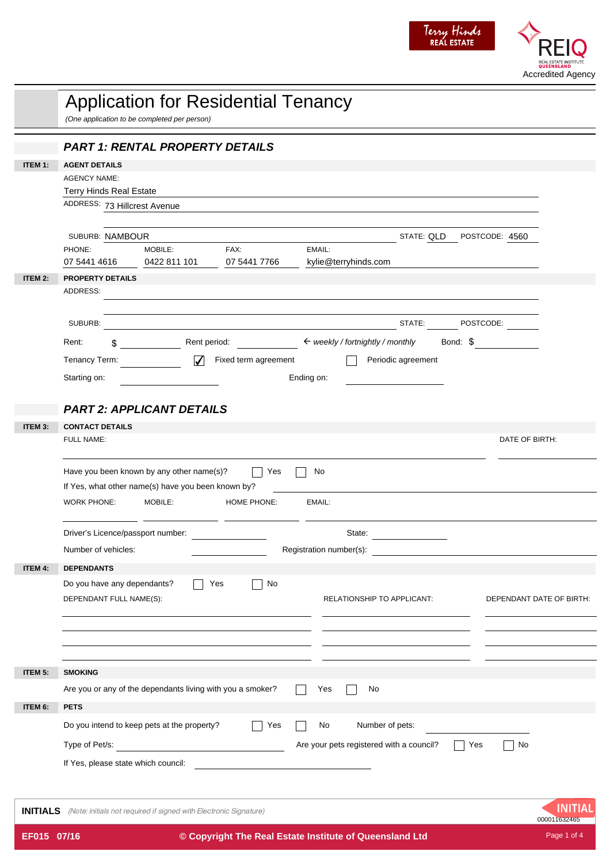

|                 | <b>Application for Residential Tenancy</b><br>(One application to be completed per person) |                                                                   |                      |                                                          |                           |                          |  |
|-----------------|--------------------------------------------------------------------------------------------|-------------------------------------------------------------------|----------------------|----------------------------------------------------------|---------------------------|--------------------------|--|
|                 |                                                                                            | <b>PART 1: RENTAL PROPERTY DETAILS</b>                            |                      |                                                          |                           |                          |  |
| <b>ITEM 1:</b>  | <b>AGENT DETAILS</b>                                                                       |                                                                   |                      |                                                          |                           |                          |  |
|                 | <b>AGENCY NAME:</b>                                                                        |                                                                   |                      |                                                          |                           |                          |  |
|                 | <b>Terry Hinds Real Estate</b><br>ADDRESS: 73 Hillcrest Avenue                             |                                                                   |                      |                                                          |                           |                          |  |
|                 |                                                                                            |                                                                   |                      |                                                          |                           |                          |  |
|                 | SUBURB: NAMBOUR                                                                            |                                                                   |                      |                                                          | STATE: QLD POSTCODE: 4560 |                          |  |
|                 | PHONE:                                                                                     | MOBILE:                                                           | FAX:                 | EMAIL:                                                   |                           |                          |  |
|                 | 07 5441 4616                                                                               | 0422 811 101                                                      | 07 5441 7766         | kylie@terryhinds.com                                     |                           |                          |  |
| ITEM 2:         | <b>PROPERTY DETAILS</b>                                                                    |                                                                   |                      |                                                          |                           |                          |  |
|                 | ADDRESS:                                                                                   |                                                                   |                      |                                                          |                           |                          |  |
|                 |                                                                                            |                                                                   |                      |                                                          |                           |                          |  |
|                 | SUBURB:                                                                                    |                                                                   |                      |                                                          | STATE:                    | POSTCODE:                |  |
|                 | Rent:<br>\$.                                                                               |                                                                   |                      | Rent period: $\leftarrow$ weekly / fortnightly / monthly |                           | Bond: \$                 |  |
|                 | Tenancy Term:                                                                              | $\checkmark$                                                      | Fixed term agreement |                                                          | Periodic agreement        |                          |  |
|                 | Starting on:                                                                               |                                                                   |                      | Ending on:                                               |                           |                          |  |
|                 |                                                                                            |                                                                   |                      |                                                          |                           |                          |  |
|                 |                                                                                            | <b>PART 2: APPLICANT DETAILS</b>                                  |                      |                                                          |                           |                          |  |
| ITEM 3:         | <b>CONTACT DETAILS</b>                                                                     |                                                                   |                      |                                                          |                           |                          |  |
|                 | FULL NAME:                                                                                 |                                                                   |                      |                                                          |                           | DATE OF BIRTH:           |  |
|                 |                                                                                            | Have you been known by any other name(s)?                         | Yes                  | No                                                       |                           |                          |  |
|                 |                                                                                            | If Yes, what other name(s) have you been known by?                |                      |                                                          |                           |                          |  |
|                 | <b>WORK PHONE:</b>                                                                         | MOBILE:                                                           | <b>HOME PHONE:</b>   | EMAIL:                                                   |                           |                          |  |
|                 |                                                                                            |                                                                   |                      |                                                          |                           |                          |  |
|                 | Driver's Licence/passport number:                                                          |                                                                   |                      | State:                                                   |                           |                          |  |
|                 | Number of vehicles:                                                                        |                                                                   |                      | Registration number(s):                                  |                           |                          |  |
| <b>ITEM 4:</b>  | <b>DEPENDANTS</b>                                                                          |                                                                   |                      |                                                          |                           |                          |  |
|                 | Do you have any dependants?                                                                |                                                                   | No<br>Yes            |                                                          |                           |                          |  |
|                 | DEPENDANT FULL NAME(S):                                                                    |                                                                   |                      | RELATIONSHIP TO APPLICANT:                               |                           | DEPENDANT DATE OF BIRTH: |  |
|                 |                                                                                            |                                                                   |                      |                                                          |                           |                          |  |
|                 |                                                                                            |                                                                   |                      |                                                          |                           |                          |  |
|                 |                                                                                            |                                                                   |                      |                                                          |                           |                          |  |
| ITEM 5:         | <b>SMOKING</b>                                                                             |                                                                   |                      |                                                          |                           |                          |  |
|                 |                                                                                            | Are you or any of the dependants living with you a smoker?        |                      | Yes<br>No                                                |                           |                          |  |
| ITEM 6:         | <b>PETS</b>                                                                                |                                                                   |                      |                                                          |                           |                          |  |
|                 |                                                                                            | Do you intend to keep pets at the property?                       | Yes                  | Number of pets:<br>No                                    |                           |                          |  |
|                 |                                                                                            |                                                                   |                      |                                                          |                           |                          |  |
|                 | Type of Pet/s:                                                                             | <u> 1980 - Jan Barat, martin a</u>                                |                      | Are your pets registered with a council?                 |                           | Yes<br>No                |  |
|                 | If Yes, please state which council:                                                        |                                                                   |                      |                                                          |                           |                          |  |
|                 |                                                                                            |                                                                   |                      |                                                          |                           |                          |  |
| <b>INITIALS</b> |                                                                                            | (Note: initials not required if signed with Electronic Signature) |                      |                                                          |                           | INIT<br>000011632465     |  |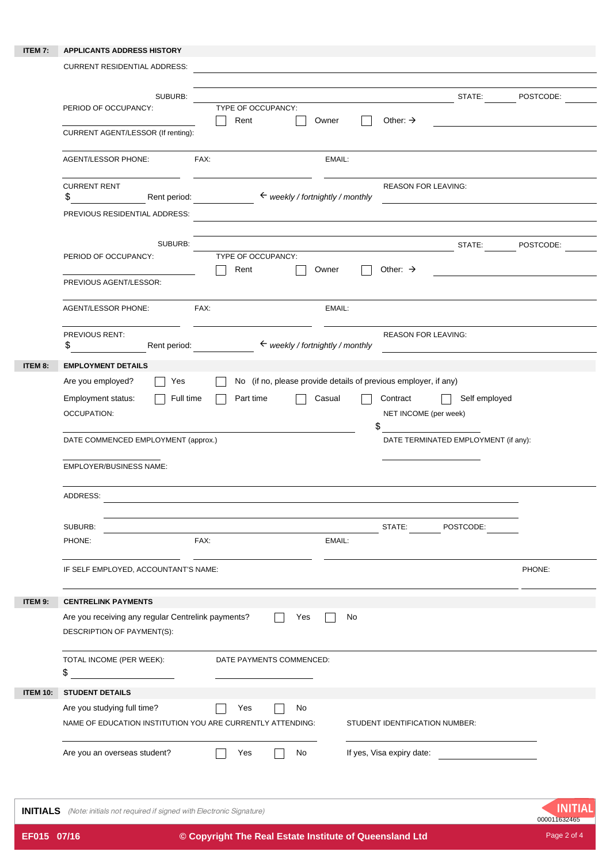## **ITEM 7: APPLICANTS ADDRESS HISTORY**

|                 | <b>CURRENT RESIDENTIAL ADDRESS:</b>                                                                                                                                                                                                                                                                                                                                                                                                                          |           |  |
|-----------------|--------------------------------------------------------------------------------------------------------------------------------------------------------------------------------------------------------------------------------------------------------------------------------------------------------------------------------------------------------------------------------------------------------------------------------------------------------------|-----------|--|
|                 | SUBURB:<br>STATE:<br>TYPE OF OCCUPANCY:<br>PERIOD OF OCCUPANCY:<br>Rent<br>Other: $\rightarrow$<br>Owner<br>CURRENT AGENT/LESSOR (If renting):                                                                                                                                                                                                                                                                                                               | POSTCODE: |  |
|                 | <b>AGENT/LESSOR PHONE:</b><br>FAX:<br>EMAIL:                                                                                                                                                                                                                                                                                                                                                                                                                 |           |  |
|                 | <b>CURRENT RENT</b><br><b>REASON FOR LEAVING:</b><br>\$<br>$\leftarrow$ weekly / fortnightly / monthly<br>Rent period:<br>PREVIOUS RESIDENTIAL ADDRESS:                                                                                                                                                                                                                                                                                                      |           |  |
|                 | SUBURB:<br>STATE:<br>PERIOD OF OCCUPANCY:<br>TYPE OF OCCUPANCY:<br>Rent<br>Other: $\rightarrow$<br>Owner                                                                                                                                                                                                                                                                                                                                                     | POSTCODE: |  |
|                 | PREVIOUS AGENT/LESSOR:                                                                                                                                                                                                                                                                                                                                                                                                                                       |           |  |
|                 | FAX:<br><b>AGENT/LESSOR PHONE:</b><br>EMAIL:                                                                                                                                                                                                                                                                                                                                                                                                                 |           |  |
|                 | <b>REASON FOR LEAVING:</b><br>PREVIOUS RENT:<br>$\leftarrow$ weekly / fortnightly / monthly<br>\$<br>Rent period:                                                                                                                                                                                                                                                                                                                                            |           |  |
| ITEM 8:         | <b>EMPLOYMENT DETAILS</b><br>No (if no, please provide details of previous employer, if any)<br>Are you employed?<br>Yes<br>Self employed<br>Employment status:<br>Full time<br>Contract<br>Part time<br>Casual<br><b>OCCUPATION:</b><br>NET INCOME (per week)<br>\$<br>DATE COMMENCED EMPLOYMENT (approx.)<br>DATE TERMINATED EMPLOYMENT (if any):<br><b>EMPLOYER/BUSINESS NAME:</b><br>ADDRESS:<br>STATE: POSTCODE:<br>SUBURB:<br>FAX:<br>EMAIL:<br>PHONE: |           |  |
|                 | IF SELF EMPLOYED, ACCOUNTANT'S NAME:                                                                                                                                                                                                                                                                                                                                                                                                                         | PHONE:    |  |
| ITEM 9:         | <b>CENTRELINK PAYMENTS</b><br>Are you receiving any regular Centrelink payments?<br>Yes<br>No<br>DESCRIPTION OF PAYMENT(S):                                                                                                                                                                                                                                                                                                                                  |           |  |
|                 | TOTAL INCOME (PER WEEK):<br>DATE PAYMENTS COMMENCED:<br>\$                                                                                                                                                                                                                                                                                                                                                                                                   |           |  |
| <b>ITEM 10:</b> | <b>STUDENT DETAILS</b><br>Are you studying full time?<br>Yes<br>No<br>NAME OF EDUCATION INSTITUTION YOU ARE CURRENTLY ATTENDING:<br>STUDENT IDENTIFICATION NUMBER:                                                                                                                                                                                                                                                                                           |           |  |
|                 | If yes, Visa expiry date:<br>Are you an overseas student?<br>Yes<br>No                                                                                                                                                                                                                                                                                                                                                                                       |           |  |

**INITIALS** (Note: initials not required if signed with Electronic Signature)

1NITIAL 000011632465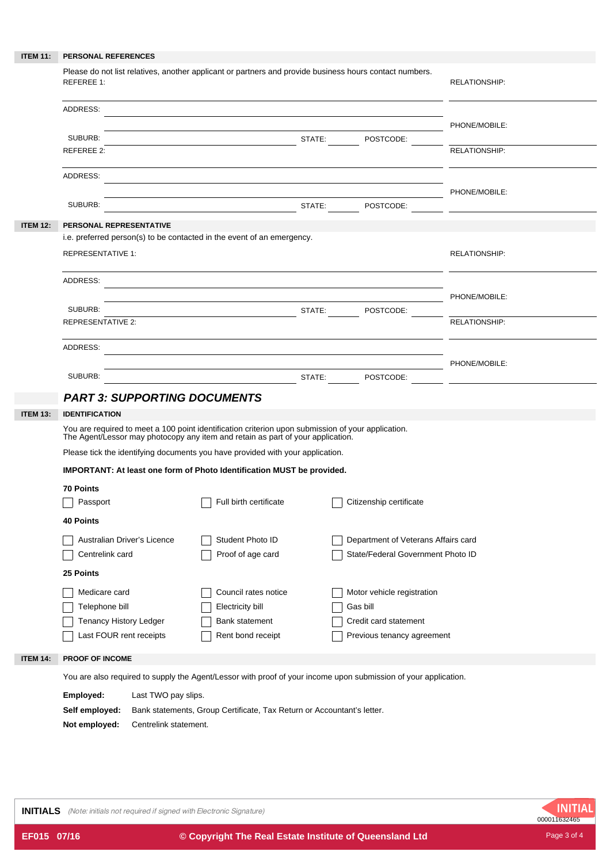| <b>ITEM 11:</b> | PERSONAL REFERENCES                                                                                                                                                                   |                                                             |                            |                                   |                      |  |  |
|-----------------|---------------------------------------------------------------------------------------------------------------------------------------------------------------------------------------|-------------------------------------------------------------|----------------------------|-----------------------------------|----------------------|--|--|
|                 | Please do not list relatives, another applicant or partners and provide business hours contact numbers.<br><b>REFEREE 1:</b>                                                          | <b>RELATIONSHIP:</b>                                        |                            |                                   |                      |  |  |
|                 | ADDRESS:                                                                                                                                                                              | PHONE/MOBILE:                                               |                            |                                   |                      |  |  |
|                 | SUBURB:                                                                                                                                                                               | <b>STATE:</b> POSTCODE:                                     |                            |                                   |                      |  |  |
|                 | REFEREE 2:                                                                                                                                                                            |                                                             |                            |                                   | <b>RELATIONSHIP:</b> |  |  |
|                 | ADDRESS:                                                                                                                                                                              |                                                             |                            |                                   |                      |  |  |
|                 |                                                                                                                                                                                       |                                                             |                            |                                   | PHONE/MOBILE:        |  |  |
|                 | SUBURB:                                                                                                                                                                               |                                                             |                            |                                   |                      |  |  |
| <b>ITEM 12:</b> | PERSONAL REPRESENTATIVE                                                                                                                                                               |                                                             |                            |                                   |                      |  |  |
|                 | i.e. preferred person(s) to be contacted in the event of an emergency.                                                                                                                |                                                             |                            |                                   |                      |  |  |
|                 | <b>REPRESENTATIVE 1:</b>                                                                                                                                                              | <b>RELATIONSHIP:</b>                                        |                            |                                   |                      |  |  |
|                 | ADDRESS:                                                                                                                                                                              |                                                             |                            |                                   |                      |  |  |
|                 |                                                                                                                                                                                       |                                                             |                            |                                   | PHONE/MOBILE:        |  |  |
|                 | SUBURB:                                                                                                                                                                               |                                                             |                            |                                   |                      |  |  |
|                 | <b>REPRESENTATIVE 2:</b>                                                                                                                                                              |                                                             |                            |                                   | RELATIONSHIP:        |  |  |
|                 | ADDRESS:                                                                                                                                                                              | <u> 1989 - Johann Stoff, amerikansk politiker (d. 1989)</u> |                            |                                   |                      |  |  |
|                 |                                                                                                                                                                                       |                                                             |                            |                                   | PHONE/MOBILE:        |  |  |
|                 | SUBURB:                                                                                                                                                                               |                                                             |                            |                                   | STATE: POSTCODE:     |  |  |
|                 | <b>PART 3: SUPPORTING DOCUMENTS</b>                                                                                                                                                   |                                                             |                            |                                   |                      |  |  |
| <b>ITEM 13:</b> | <b>IDENTIFICATION</b>                                                                                                                                                                 |                                                             |                            |                                   |                      |  |  |
|                 | You are required to meet a 100 point identification criterion upon submission of your application.<br>The Agent/Lessor may photocopy any item and retain as part of your application. |                                                             |                            |                                   |                      |  |  |
|                 | Please tick the identifying documents you have provided with your application.                                                                                                        |                                                             |                            |                                   |                      |  |  |
|                 | IMPORTANT: At least one form of Photo Identification MUST be provided.                                                                                                                |                                                             |                            |                                   |                      |  |  |
|                 | <b>70 Points</b>                                                                                                                                                                      |                                                             |                            |                                   |                      |  |  |
|                 | Passport                                                                                                                                                                              |                                                             | Citizenship certificate    |                                   |                      |  |  |
|                 | <b>40 Points</b>                                                                                                                                                                      |                                                             |                            |                                   |                      |  |  |
|                 | Australian Driver's Licence<br>Student Photo ID<br>Department of Veterans Affairs card                                                                                                |                                                             |                            |                                   |                      |  |  |
|                 | Proof of age card<br>Centrelink card                                                                                                                                                  |                                                             |                            | State/Federal Government Photo ID |                      |  |  |
|                 | 25 Points                                                                                                                                                                             |                                                             |                            |                                   |                      |  |  |
|                 | Medicare card<br>Council rates notice                                                                                                                                                 |                                                             | Motor vehicle registration |                                   |                      |  |  |
|                 | Telephone bill<br>Electricity bill<br>Gas bill                                                                                                                                        |                                                             |                            |                                   |                      |  |  |
|                 | Tenancy History Ledger                                                                                                                                                                | <b>Bank statement</b>                                       |                            | Credit card statement             |                      |  |  |
|                 | Last FOUR rent receipts                                                                                                                                                               | Rent bond receipt                                           |                            | Previous tenancy agreement        |                      |  |  |
| <b>ITEM 14:</b> | PROOF OF INCOME                                                                                                                                                                       |                                                             |                            |                                   |                      |  |  |
|                 | You are also required to supply the Agent/Lessor with proof of your income upon submission of your application.                                                                       |                                                             |                            |                                   |                      |  |  |
|                 | Employed:<br>Last TWO pay slips.                                                                                                                                                      |                                                             |                            |                                   |                      |  |  |
|                 | Self employed:<br>Bank statements, Group Certificate, Tax Return or Accountant's letter.                                                                                              |                                                             |                            |                                   |                      |  |  |

**Not employed:** Centrelink statement.

**INITIALS** (Note: initials not required if signed with Electronic Signature)